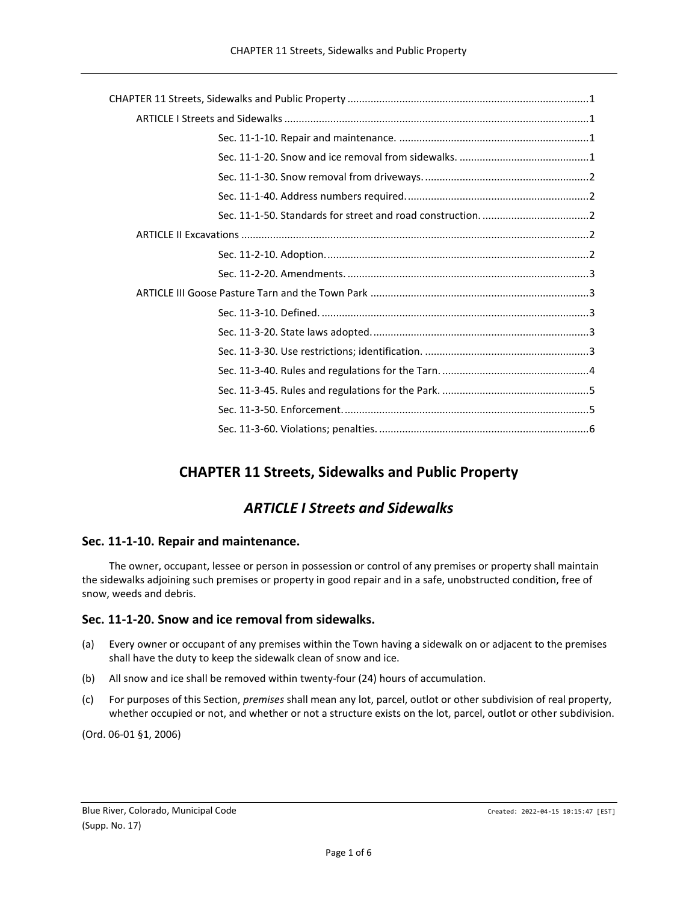# **CHAPTER 11 Streets, Sidewalks and Public Property**

# *ARTICLE I Streets and Sidewalks*

# <span id="page-0-2"></span><span id="page-0-1"></span><span id="page-0-0"></span>**Sec. 11-1-10. Repair and maintenance.**

The owner, occupant, lessee or person in possession or control of any premises or property shall maintain the sidewalks adjoining such premises or property in good repair and in a safe, unobstructed condition, free of snow, weeds and debris.

# <span id="page-0-3"></span>**Sec. 11-1-20. Snow and ice removal from sidewalks.**

- (a) Every owner or occupant of any premises within the Town having a sidewalk on or adjacent to the premises shall have the duty to keep the sidewalk clean of snow and ice.
- (b) All snow and ice shall be removed within twenty-four (24) hours of accumulation.
- (c) For purposes of this Section, *premises* shall mean any lot, parcel, outlot or other subdivision of real property, whether occupied or not, and whether or not a structure exists on the lot, parcel, outlot or other subdivision.

(Ord. 06-01 §1, 2006)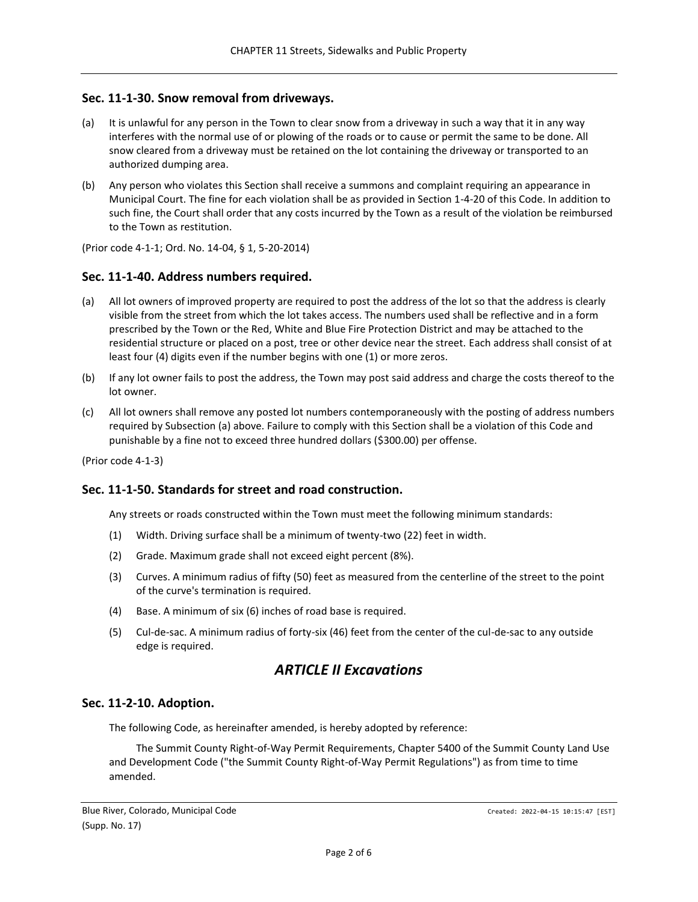## <span id="page-1-0"></span>**Sec. 11-1-30. Snow removal from driveways.**

- (a) It is unlawful for any person in the Town to clear snow from a driveway in such a way that it in any way interferes with the normal use of or plowing of the roads or to cause or permit the same to be done. All snow cleared from a driveway must be retained on the lot containing the driveway or transported to an authorized dumping area.
- (b) Any person who violates this Section shall receive a summons and complaint requiring an appearance in Municipal Court. The fine for each violation shall be as provided in Section 1-4-20 of this Code. In addition to such fine, the Court shall order that any costs incurred by the Town as a result of the violation be reimbursed to the Town as restitution.

(Prior code 4-1-1; Ord. No. 14-04, § 1, 5-20-2014)

## <span id="page-1-1"></span>**Sec. 11-1-40. Address numbers required.**

- (a) All lot owners of improved property are required to post the address of the lot so that the address is clearly visible from the street from which the lot takes access. The numbers used shall be reflective and in a form prescribed by the Town or the Red, White and Blue Fire Protection District and may be attached to the residential structure or placed on a post, tree or other device near the street. Each address shall consist of at least four (4) digits even if the number begins with one (1) or more zeros.
- (b) If any lot owner fails to post the address, the Town may post said address and charge the costs thereof to the lot owner.
- (c) All lot owners shall remove any posted lot numbers contemporaneously with the posting of address numbers required by Subsection (a) above. Failure to comply with this Section shall be a violation of this Code and punishable by a fine not to exceed three hundred dollars (\$300.00) per offense.

(Prior code 4-1-3)

## <span id="page-1-2"></span>**Sec. 11-1-50. Standards for street and road construction.**

Any streets or roads constructed within the Town must meet the following minimum standards:

- (1) Width. Driving surface shall be a minimum of twenty-two (22) feet in width.
- (2) Grade. Maximum grade shall not exceed eight percent (8%).
- (3) Curves. A minimum radius of fifty (50) feet as measured from the centerline of the street to the point of the curve's termination is required.
- (4) Base. A minimum of six (6) inches of road base is required.
- (5) Cul-de-sac. A minimum radius of forty-six (46) feet from the center of the cul-de-sac to any outside edge is required.

# *ARTICLE II Excavations*

## <span id="page-1-4"></span><span id="page-1-3"></span>**Sec. 11-2-10. Adoption.**

The following Code, as hereinafter amended, is hereby adopted by reference:

The Summit County Right-of-Way Permit Requirements, Chapter 5400 of the Summit County Land Use and Development Code ("the Summit County Right-of-Way Permit Regulations") as from time to time amended.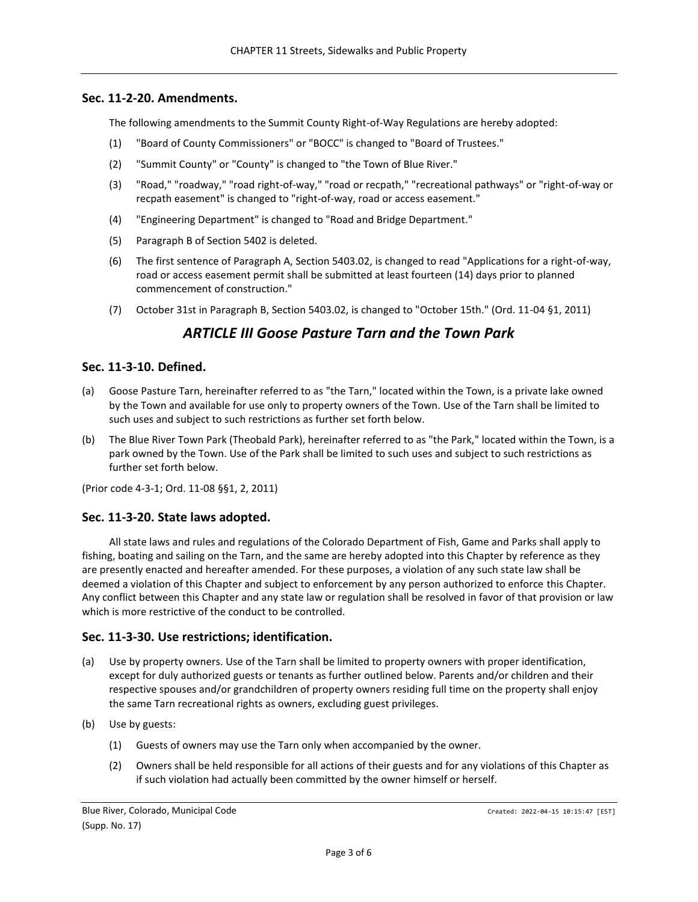## <span id="page-2-0"></span>**Sec. 11-2-20. Amendments.**

The following amendments to the Summit County Right-of-Way Regulations are hereby adopted:

- (1) "Board of County Commissioners" or "BOCC" is changed to "Board of Trustees."
- (2) "Summit County" or "County" is changed to "the Town of Blue River."
- (3) "Road," "roadway," "road right-of-way," "road or recpath," "recreational pathways" or "right-of-way or recpath easement" is changed to "right-of-way, road or access easement."
- (4) "Engineering Department" is changed to "Road and Bridge Department."
- (5) Paragraph B of Section 5402 is deleted.
- (6) The first sentence of Paragraph A, Section 5403.02, is changed to read "Applications for a right-of-way, road or access easement permit shall be submitted at least fourteen (14) days prior to planned commencement of construction."
- <span id="page-2-1"></span>(7) October 31st in Paragraph B, Section 5403.02, is changed to "October 15th." (Ord. 11-04 §1, 2011)

# *ARTICLE III Goose Pasture Tarn and the Town Park*

# <span id="page-2-2"></span>**Sec. 11-3-10. Defined.**

- (a) Goose Pasture Tarn, hereinafter referred to as "the Tarn," located within the Town, is a private lake owned by the Town and available for use only to property owners of the Town. Use of the Tarn shall be limited to such uses and subject to such restrictions as further set forth below.
- (b) The Blue River Town Park (Theobald Park), hereinafter referred to as "the Park," located within the Town, is a park owned by the Town. Use of the Park shall be limited to such uses and subject to such restrictions as further set forth below.

(Prior code 4-3-1; Ord. 11-08 §§1, 2, 2011)

## <span id="page-2-3"></span>**Sec. 11-3-20. State laws adopted.**

All state laws and rules and regulations of the Colorado Department of Fish, Game and Parks shall apply to fishing, boating and sailing on the Tarn, and the same are hereby adopted into this Chapter by reference as they are presently enacted and hereafter amended. For these purposes, a violation of any such state law shall be deemed a violation of this Chapter and subject to enforcement by any person authorized to enforce this Chapter. Any conflict between this Chapter and any state law or regulation shall be resolved in favor of that provision or law which is more restrictive of the conduct to be controlled.

## <span id="page-2-4"></span>**Sec. 11-3-30. Use restrictions; identification.**

- (a) Use by property owners. Use of the Tarn shall be limited to property owners with proper identification, except for duly authorized guests or tenants as further outlined below. Parents and/or children and their respective spouses and/or grandchildren of property owners residing full time on the property shall enjoy the same Tarn recreational rights as owners, excluding guest privileges.
- (b) Use by guests:
	- (1) Guests of owners may use the Tarn only when accompanied by the owner.
	- (2) Owners shall be held responsible for all actions of their guests and for any violations of this Chapter as if such violation had actually been committed by the owner himself or herself.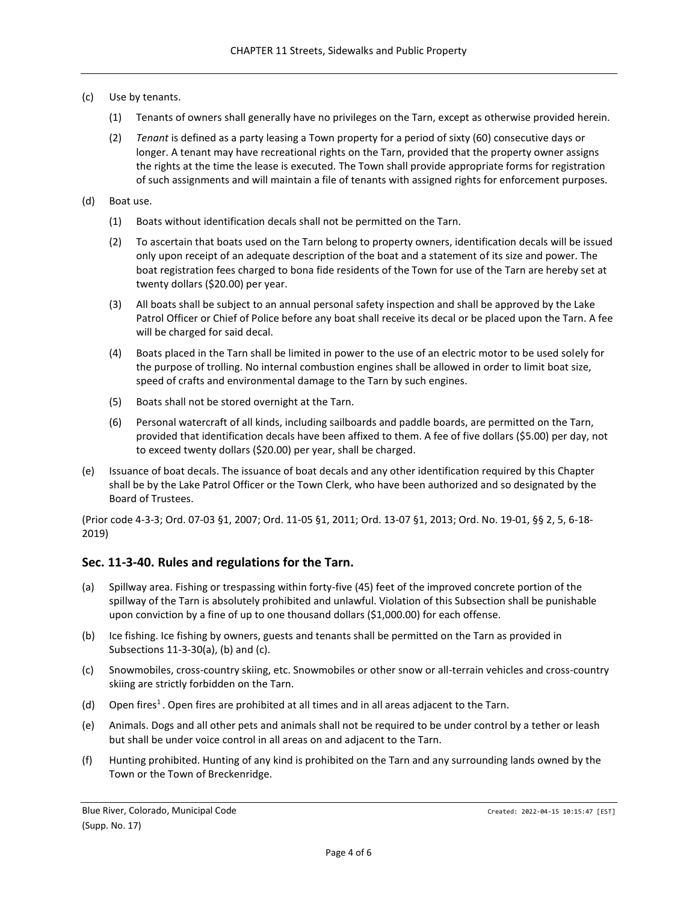## (c) Use by tenants.

- (1) Tenants of owners shall generally have no privileges on the Tarn, except as otherwise provided herein.
- (2) *Tenant* is defined as a party leasing a Town property for a period of sixty (60) consecutive days or longer. A tenant may have recreational rights on the Tarn, provided that the property owner assigns the rights at the time the lease is executed. The Town shall provide appropriate forms for registration of such assignments and will maintain a file of tenants with assigned rights for enforcement purposes.
- (d) Boat use.
	- (1) Boats without identification decals shall not be permitted on the Tarn.
	- (2) To ascertain that boats used on the Tarn belong to property owners, identification decals will be issued only upon receipt of an adequate description of the boat and a statement of its size and power. The boat registration fees charged to bona fide residents of the Town for use of the Tarn are hereby set at twenty dollars (\$20.00) per year.
	- (3) All boats shall be subject to an annual personal safety inspection and shall be approved by the Lake Patrol Officer or Chief of Police before any boat shall receive its decal or be placed upon the Tarn. A fee will be charged for said decal.
	- (4) Boats placed in the Tarn shall be limited in power to the use of an electric motor to be used solely for the purpose of trolling. No internal combustion engines shall be allowed in order to limit boat size, speed of crafts and environmental damage to the Tarn by such engines.
	- (5) Boats shall not be stored overnight at the Tarn.
	- (6) Personal watercraft of all kinds, including sailboards and paddle boards, are permitted on the Tarn, provided that identification decals have been affixed to them. A fee of five dollars (\$5.00) per day, not to exceed twenty dollars (\$20.00) per year, shall be charged.
- (e) Issuance of boat decals. The issuance of boat decals and any other identification required by this Chapter shall be by the Lake Patrol Officer or the Town Clerk, who have been authorized and so designated by the Board of Trustees.

(Prior code 4-3-3; Ord. 07-03 §1, 2007; Ord. 11-05 §1, 2011; Ord. 13-07 §1, 2013; Ord. No. 19-01, §§ 2, 5, 6-18- 2019)

# <span id="page-3-0"></span>**Sec. 11-3-40. Rules and regulations for the Tarn.**

- (a) Spillway area. Fishing or trespassing within forty-five (45) feet of the improved concrete portion of the spillway of the Tarn is absolutely prohibited and unlawful. Violation of this Subsection shall be punishable upon conviction by a fine of up to one thousand dollars (\$1,000.00) for each offense.
- (b) Ice fishing. Ice fishing by owners, guests and tenants shall be permitted on the Tarn as provided in Subsections 11-3-30(a), (b) and (c).
- (c) Snowmobiles, cross-country skiing, etc. Snowmobiles or other snow or all-terrain vehicles and cross-country skiing are strictly forbidden on the Tarn.
- (d) Open fires<sup>1</sup>. Open fires are prohibited at all times and in all areas adjacent to the Tarn.
- (e) Animals. Dogs and all other pets and animals shall not be required to be under control by a tether or leash but shall be under voice control in all areas on and adjacent to the Tarn.
- (f) Hunting prohibited. Hunting of any kind is prohibited on the Tarn and any surrounding lands owned by the Town or the Town of Breckenridge.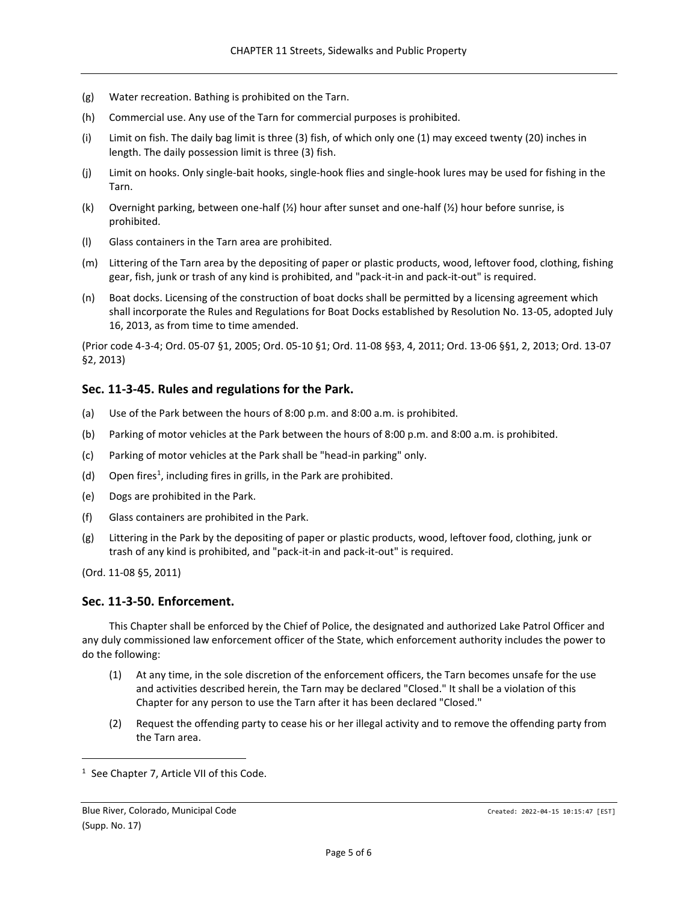- (g) Water recreation. Bathing is prohibited on the Tarn.
- (h) Commercial use. Any use of the Tarn for commercial purposes is prohibited.
- (i) Limit on fish. The daily bag limit is three (3) fish, of which only one (1) may exceed twenty (20) inches in length. The daily possession limit is three (3) fish.
- (j) Limit on hooks. Only single-bait hooks, single-hook flies and single-hook lures may be used for fishing in the Tarn.
- (k) Overnight parking, between one-half (½) hour after sunset and one-half (½) hour before sunrise, is prohibited.
- (l) Glass containers in the Tarn area are prohibited.
- (m) Littering of the Tarn area by the depositing of paper or plastic products, wood, leftover food, clothing, fishing gear, fish, junk or trash of any kind is prohibited, and "pack-it-in and pack-it-out" is required.
- (n) Boat docks. Licensing of the construction of boat docks shall be permitted by a licensing agreement which shall incorporate the Rules and Regulations for Boat Docks established by Resolution No. 13-05, adopted July 16, 2013, as from time to time amended.

(Prior code 4-3-4; Ord. 05-07 §1, 2005; Ord. 05-10 §1; Ord. 11-08 §§3, 4, 2011; Ord. 13-06 §§1, 2, 2013; Ord. 13-07 §2, 2013)

# <span id="page-4-0"></span>**Sec. 11-3-45. Rules and regulations for the Park.**

- (a) Use of the Park between the hours of 8:00 p.m. and 8:00 a.m. is prohibited.
- (b) Parking of motor vehicles at the Park between the hours of 8:00 p.m. and 8:00 a.m. is prohibited.
- (c) Parking of motor vehicles at the Park shall be "head-in parking" only.
- (d) Open fires<sup>1</sup>, including fires in grills, in the Park are prohibited.
- (e) Dogs are prohibited in the Park.
- (f) Glass containers are prohibited in the Park.
- (g) Littering in the Park by the depositing of paper or plastic products, wood, leftover food, clothing, junk or trash of any kind is prohibited, and "pack-it-in and pack-it-out" is required.

(Ord. 11-08 §5, 2011)

## <span id="page-4-1"></span>**Sec. 11-3-50. Enforcement.**

This Chapter shall be enforced by the Chief of Police, the designated and authorized Lake Patrol Officer and any duly commissioned law enforcement officer of the State, which enforcement authority includes the power to do the following:

- (1) At any time, in the sole discretion of the enforcement officers, the Tarn becomes unsafe for the use and activities described herein, the Tarn may be declared "Closed." It shall be a violation of this Chapter for any person to use the Tarn after it has been declared "Closed."
- (2) Request the offending party to cease his or her illegal activity and to remove the offending party from the Tarn area.

<sup>&</sup>lt;sup>1</sup> See Chapter 7, Article VII of this Code.